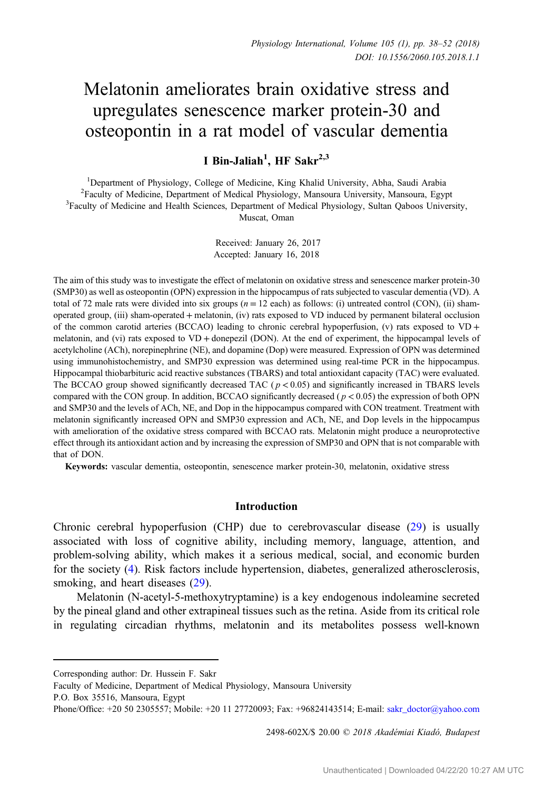# Melatonin ameliorates brain oxidative stress and upregulates senescence marker protein-30 and osteopontin in a rat model of vascular dementia

I Bin-Jaliah<sup>1</sup>, HF Sakr<sup>2,3</sup>

<sup>1</sup>Department of Physiology, College of Medicine, King Khalid University, Abha, Saudi Arabia <sup>1</sup>Department of Physiology, College of Medicine, King Khalid University, Abha, Saudi Arabia<br><sup>2</sup>Eaculty of Medicine, Department of Medical Physiology, Mansoura University, Mansoura, Egy Faculty of Medicine, Department of Medical Physiology, Mansoura University, Mansoura, Egypt<br><sup>3</sup>Eaculty of Medicine and Health Sciences, Department of Medical Physiology, Sultan Oaboos Univer <sup>3</sup>Faculty of Medicine and Health Sciences, Department of Medical Physiology, Sultan Qaboos University, Muscat, Oman

> Received: January 26, 2017 Accepted: January 16, 2018

The aim of this study was to investigate the effect of melatonin on oxidative stress and senescence marker protein-30 (SMP30) as well as osteopontin (OPN) expression in the hippocampus of rats subjected to vascular dementia (VD). A total of 72 male rats were divided into six groups  $(n = 12 \text{ each})$  as follows: (i) untreated control (CON), (ii) shamoperated group, (iii) sham-operated + melatonin, (iv) rats exposed to VD induced by permanent bilateral occlusion of the common carotid arteries (BCCAO) leading to chronic cerebral hypoperfusion, (v) rats exposed to  $VD +$ melatonin, and (vi) rats exposed to VD + donepezil (DON). At the end of experiment, the hippocampal levels of acetylcholine (ACh), norepinephrine (NE), and dopamine (Dop) were measured. Expression of OPN was determined using immunohistochemistry, and SMP30 expression was determined using real-time PCR in the hippocampus. Hippocampal thiobarbituric acid reactive substances (TBARS) and total antioxidant capacity (TAC) were evaluated. The BCCAO group showed significantly decreased TAC ( $p < 0.05$ ) and significantly increased in TBARS levels compared with the CON group. In addition, BCCAO significantly decreased ( $p < 0.05$ ) the expression of both OPN and SMP30 and the levels of ACh, NE, and Dop in the hippocampus compared with CON treatment. Treatment with melatonin significantly increased OPN and SMP30 expression and ACh, NE, and Dop levels in the hippocampus with amelioration of the oxidative stress compared with BCCAO rats. Melatonin might produce a neuroprotective effect through its antioxidant action and by increasing the expression of SMP30 and OPN that is not comparable with that of DON.

Keywords: vascular dementia, osteopontin, senescence marker protein-30, melatonin, oxidative stress

## Introduction

Chronic cerebral hypoperfusion (CHP) due to cerebrovascular disease [\(29\)](#page-13-0) is usually associated with loss of cognitive ability, including memory, language, attention, and problem-solving ability, which makes it a serious medical, social, and economic burden for the society [\(4](#page-12-0)). Risk factors include hypertension, diabetes, generalized atherosclerosis, smoking, and heart diseases  $(29)$  $(29)$ .

Melatonin (N-acetyl-5-methoxytryptamine) is a key endogenous indoleamine secreted by the pineal gland and other extrapineal tissues such as the retina. Aside from its critical role in regulating circadian rhythms, melatonin and its metabolites possess well-known

2498-602X/\$ 20.00 © 2018 Akadémiai Kiadó, Budapest

Corresponding author: Dr. Hussein F. Sakr

Faculty of Medicine, Department of Medical Physiology, Mansoura University

P.O. Box 35516, Mansoura, Egypt

Phone/Office: +20 50 2305557; Mobile: +20 11 27720093; Fax: +96824143514; E-mail: [sakr\\_doctor@yahoo.com](mailto:sakr_doctor@yahoo.com)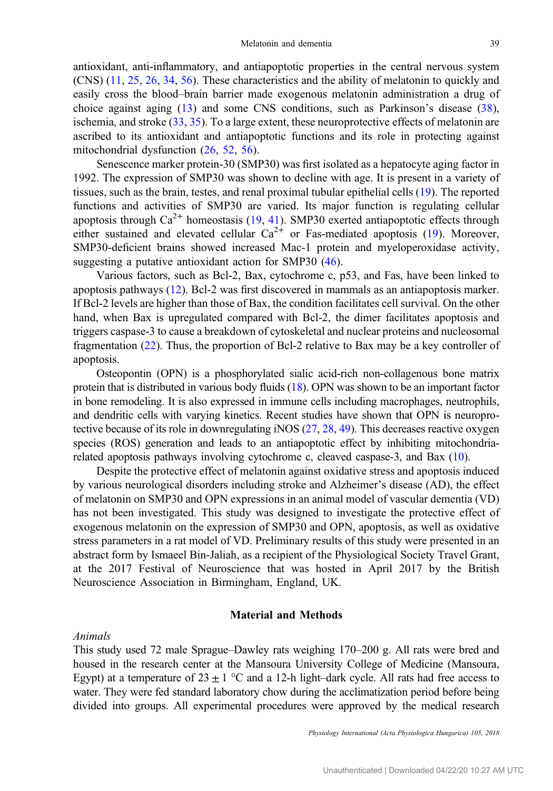antioxidant, anti-inflammatory, and antiapoptotic properties in the central nervous system (CNS) ([11,](#page-12-0) [25](#page-13-0), [26](#page-13-0), [34](#page-13-0), [56\)](#page-14-0). These characteristics and the ability of melatonin to quickly and easily cross the blood–brain barrier made exogenous melatonin administration a drug of choice against aging [\(13\)](#page-12-0) and some CNS conditions, such as Parkinson's disease [\(38](#page-13-0)), ischemia, and stroke ([33,](#page-13-0) [35](#page-13-0)). To a large extent, these neuroprotective effects of melatonin are ascribed to its antioxidant and antiapoptotic functions and its role in protecting against mitochondrial dysfunction ([26,](#page-13-0) [52,](#page-14-0) [56\)](#page-14-0).

Senescence marker protein-30 (SMP30) was first isolated as a hepatocyte aging factor in 1992. The expression of SMP30 was shown to decline with age. It is present in a variety of tissues, such as the brain, testes, and renal proximal tubular epithelial cells [\(19](#page-12-0)). The reported functions and activities of SMP30 are varied. Its major function is regulating cellular apoptosis through  $Ca^{2+}$  homeostasis [\(19](#page-12-0), [41](#page-13-0)). SMP30 exerted antiapoptotic effects through either sustained and elevated cellular  $Ca^{2+}$  or Fas-mediated apoptosis ([19\)](#page-12-0). Moreover, SMP30-deficient brains showed increased Mac-1 protein and myeloperoxidase activity, suggesting a putative antioxidant action for SMP30 ([46\)](#page-13-0).

Various factors, such as Bcl-2, Bax, cytochrome c, p53, and Fas, have been linked to apoptosis pathways [\(12](#page-12-0)). Bcl-2 was first discovered in mammals as an antiapoptosis marker. If Bcl-2 levels are higher than those of Bax, the condition facilitates cell survival. On the other hand, when Bax is upregulated compared with Bcl-2, the dimer facilitates apoptosis and triggers caspase-3 to cause a breakdown of cytoskeletal and nuclear proteins and nucleosomal fragmentation [\(22](#page-12-0)). Thus, the proportion of Bcl-2 relative to Bax may be a key controller of apoptosis.

Osteopontin (OPN) is a phosphorylated sialic acid-rich non-collagenous bone matrix protein that is distributed in various body fluids ([18](#page-12-0)). OPN was shown to be an important factor in bone remodeling. It is also expressed in immune cells including macrophages, neutrophils, and dendritic cells with varying kinetics. Recent studies have shown that OPN is neuroprotective because of its role in downregulating iNOS [\(27,](#page-13-0) [28](#page-13-0), [49\)](#page-14-0). This decreases reactive oxygen species (ROS) generation and leads to an antiapoptotic effect by inhibiting mitochondriarelated apoptosis pathways involving cytochrome c, cleaved caspase-3, and Bax ([10\)](#page-12-0).

Despite the protective effect of melatonin against oxidative stress and apoptosis induced by various neurological disorders including stroke and Alzheimer's disease (AD), the effect of melatonin on SMP30 and OPN expressions in an animal model of vascular dementia (VD) has not been investigated. This study was designed to investigate the protective effect of exogenous melatonin on the expression of SMP30 and OPN, apoptosis, as well as oxidative stress parameters in a rat model of VD. Preliminary results of this study were presented in an abstract form by Ismaeel Bin-Jaliah, as a recipient of the Physiological Society Travel Grant, at the 2017 Festival of Neuroscience that was hosted in April 2017 by the British Neuroscience Association in Birmingham, England, UK.

#### Material and Methods

## Animals

This study used 72 male Sprague–Dawley rats weighing 170–200 g. All rats were bred and housed in the research center at the Mansoura University College of Medicine (Mansoura, Egypt) at a temperature of  $23 \pm 1$  °C and a 12-h light–dark cycle. All rats had free access to water. They were fed standard laboratory chow during the acclimatization period before being divided into groups. All experimental procedures were approved by the medical research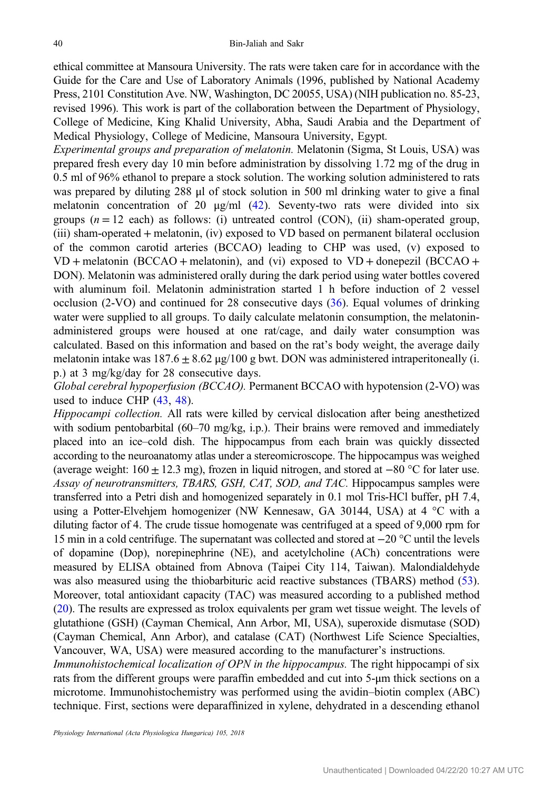ethical committee at Mansoura University. The rats were taken care for in accordance with the Guide for the Care and Use of Laboratory Animals (1996, published by National Academy Press, 2101 Constitution Ave. NW, Washington, DC 20055, USA) (NIH publication no. 85-23, revised 1996). This work is part of the collaboration between the Department of Physiology, College of Medicine, King Khalid University, Abha, Saudi Arabia and the Department of Medical Physiology, College of Medicine, Mansoura University, Egypt.

Experimental groups and preparation of melatonin. Melatonin (Sigma, St Louis, USA) was prepared fresh every day 10 min before administration by dissolving 1.72 mg of the drug in 0.5 ml of 96% ethanol to prepare a stock solution. The working solution administered to rats was prepared by diluting 288 μl of stock solution in 500 ml drinking water to give a final melatonin concentration of 20  $\mu$ g/ml [\(42](#page-13-0)). Seventy-two rats were divided into six groups  $(n = 12 \text{ each})$  as follows: (i) untreated control (CON), (ii) sham-operated group, (iii) sham-operated + melatonin, (iv) exposed to VD based on permanent bilateral occlusion of the common carotid arteries (BCCAO) leading to CHP was used, (v) exposed to  $VD +$  melatonin (BCCAO + melatonin), and (vi) exposed to  $VD +$  donepezil (BCCAO + DON). Melatonin was administered orally during the dark period using water bottles covered with aluminum foil. Melatonin administration started 1 h before induction of 2 vessel occlusion (2-VO) and continued for 28 consecutive days ([36\)](#page-13-0). Equal volumes of drinking water were supplied to all groups. To daily calculate melatonin consumption, the melatoninadministered groups were housed at one rat/cage, and daily water consumption was calculated. Based on this information and based on the rat's body weight, the average daily melatonin intake was  $187.6 \pm 8.62 \mu g/100 \text{ g}$  bwt. DON was administered intraperitoneally (i. p.) at 3 mg/kg/day for 28 consecutive days.

Global cerebral hypoperfusion (BCCAO). Permanent BCCAO with hypotension (2-VO) was used to induce CHP [\(43](#page-13-0), [48](#page-14-0)).

Hippocampi collection. All rats were killed by cervical dislocation after being anesthetized with sodium pentobarbital  $(60-70 \text{ mg/kg}, i.p.).$  Their brains were removed and immediately placed into an ice–cold dish. The hippocampus from each brain was quickly dissected according to the neuroanatomy atlas under a stereomicroscope. The hippocampus was weighed (average weight:  $160 \pm 12.3$  mg), frozen in liquid nitrogen, and stored at  $-80$  °C for later use. Assay of neurotransmitters, TBARS, GSH, CAT, SOD, and TAC. Hippocampus samples were transferred into a Petri dish and homogenized separately in 0.1 mol Tris-HCl buffer, pH 7.4, using a Potter-Elvehjem homogenizer (NW Kennesaw, GA 30144, USA) at 4 °C with a diluting factor of 4. The crude tissue homogenate was centrifuged at a speed of 9,000 rpm for 15 min in a cold centrifuge. The supernatant was collected and stored at −20 °C until the levels of dopamine (Dop), norepinephrine (NE), and acetylcholine (ACh) concentrations were measured by ELISA obtained from Abnova (Taipei City 114, Taiwan). Malondialdehyde was also measured using the thiobarbituric acid reactive substances (TBARS) method ([53](#page-14-0)). Moreover, total antioxidant capacity (TAC) was measured according to a published method [\(20\)](#page-12-0). The results are expressed as trolox equivalents per gram wet tissue weight. The levels of glutathione (GSH) (Cayman Chemical, Ann Arbor, MI, USA), superoxide dismutase (SOD) (Cayman Chemical, Ann Arbor), and catalase (CAT) (Northwest Life Science Specialties, Vancouver, WA, USA) were measured according to the manufacturer's instructions.

Immunohistochemical localization of OPN in the hippocampus. The right hippocampi of six rats from the different groups were paraffin embedded and cut into 5-μm thick sections on a microtome. Immunohistochemistry was performed using the avidin–biotin complex (ABC) technique. First, sections were deparaffinized in xylene, dehydrated in a descending ethanol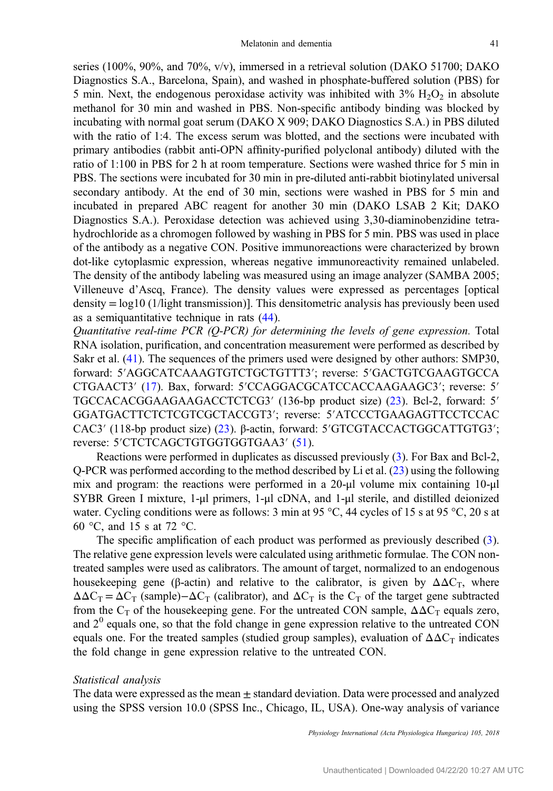series (100%, 90%, and 70%, v/v), immersed in a retrieval solution (DAKO 51700; DAKO Diagnostics S.A., Barcelona, Spain), and washed in phosphate-buffered solution (PBS) for 5 min. Next, the endogenous peroxidase activity was inhibited with  $3\%$  H<sub>2</sub>O<sub>2</sub> in absolute methanol for 30 min and washed in PBS. Non-specific antibody binding was blocked by incubating with normal goat serum (DAKO X 909; DAKO Diagnostics S.A.) in PBS diluted with the ratio of 1:4. The excess serum was blotted, and the sections were incubated with primary antibodies (rabbit anti-OPN affinity-purified polyclonal antibody) diluted with the ratio of 1:100 in PBS for 2 h at room temperature. Sections were washed thrice for 5 min in PBS. The sections were incubated for 30 min in pre-diluted anti-rabbit biotinylated universal secondary antibody. At the end of 30 min, sections were washed in PBS for 5 min and incubated in prepared ABC reagent for another 30 min (DAKO LSAB 2 Kit; DAKO Diagnostics S.A.). Peroxidase detection was achieved using 3,30-diaminobenzidine tetrahydrochloride as a chromogen followed by washing in PBS for 5 min. PBS was used in place of the antibody as a negative CON. Positive immunoreactions were characterized by brown dot-like cytoplasmic expression, whereas negative immunoreactivity remained unlabeled. The density of the antibody labeling was measured using an image analyzer (SAMBA 2005; Villeneuve d'Ascq, France). The density values were expressed as percentages [optical density = log10 (1/light transmission)]. This densitometric analysis has previously been used as a semiquantitative technique in rats ([44\)](#page-13-0).

Quantitative real-time PCR (Q-PCR) for determining the levels of gene expression. Total RNA isolation, purification, and concentration measurement were performed as described by Sakr et al. ([41\)](#page-13-0). The sequences of the primers used were designed by other authors: SMP30, forward: 5′AGGCATCAAAGTGTCTGCTGTTT3′; reverse: 5′GACTGTCGAAGTGCCA forward: 5'AGGCATCAAAGTGTCTGCTGTTT3'; reverse: 5'GACTGTCGAAGTGCCA<br>CTGAACT3' ([17](#page-12-0)). Bax, forward: 5'CCAGGACGCATCCACCAAGAAGC3'; reverse: 5' CTGAACT3' (17). Bax, forward: 5'CCAGGACGCATCCACCAAGAAGC3'; reverse: 5'<br>TGCCACACGGAAGAAGACCTCTCG3' (136-bp product size) ([23\)](#page-13-0). Bcl-2, forward: 5' TGCCACACGGAAGAAGACCTCTCG3' (136-bp product size) (23). Bcl-2, forward: 5' GGATGACTTCTCTCGTCGCTACCGT3'; reverse: 5'ATCCCTGAAGAGTTCCTCCAC CAC3' (118-bp product size) (23). β-actin, forward: 5'GTCGTACCACTGGCATTGTG3'; reverse: 5'CTCTCAGCTGTGGTGGTGAA3' ([51\)](#page-14-0).

Reactions were performed in duplicates as discussed previously ([3\)](#page-12-0). For Bax and Bcl-2, Q-PCR was performed according to the method described by Li et al. [\(23](#page-13-0)) using the following mix and program: the reactions were performed in a 20-μl volume mix containing 10-μl SYBR Green I mixture, 1-μl primers, 1-μl cDNA, and 1-μl sterile, and distilled deionized water. Cycling conditions were as follows: 3 min at 95  $\degree$ C, 44 cycles of 15 s at 95  $\degree$ C, 20 s at 60 °C, and 15 s at 72 °C.

The specific amplification of each product was performed as previously described [\(3](#page-12-0)). The relative gene expression levels were calculated using arithmetic formulae. The CON nontreated samples were used as calibrators. The amount of target, normalized to an endogenous housekeeping gene (β-actin) and relative to the calibrator, is given by  $\Delta \Delta C_T$ , where  $\Delta \Delta C_T = \Delta C_T$  (sample)– $\Delta C_T$  (calibrator), and  $\Delta C_T$  is the  $C_T$  of the target gene subtracted from the  $C_T$  of the housekeeping gene. For the untreated CON sample,  $\Delta \Delta C_T$  equals zero, and  $2<sup>0</sup>$  equals one, so that the fold change in gene expression relative to the untreated CON equals one. For the treated samples (studied group samples), evaluation of  $\Delta \Delta C_T$  indicates the fold change in gene expression relative to the untreated CON.

#### Statistical analysis

The data were expressed as the mean  $\pm$  standard deviation. Data were processed and analyzed using the SPSS version 10.0 (SPSS Inc., Chicago, IL, USA). One-way analysis of variance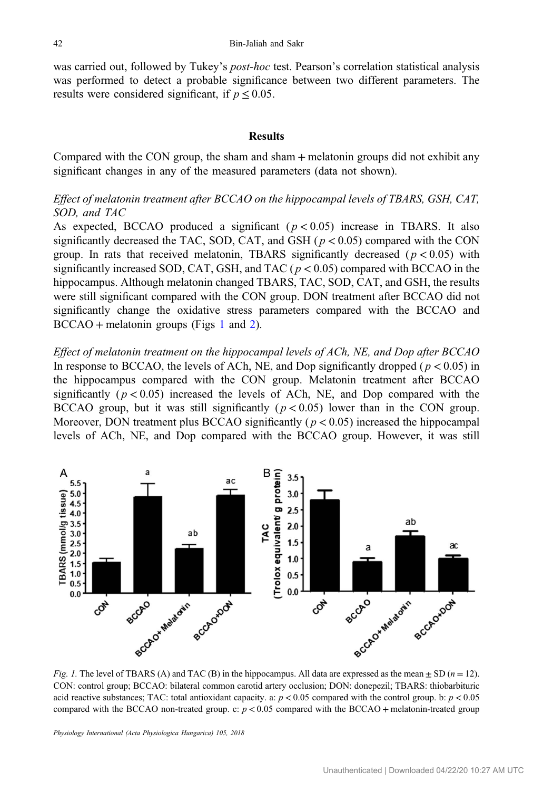was carried out, followed by Tukey's *post-hoc* test. Pearson's correlation statistical analysis was performed to detect a probable significance between two different parameters. The results were considered significant, if  $p \le 0.05$ .

## **Results**

Compared with the CON group, the sham and sham + melatonin groups did not exhibit any significant changes in any of the measured parameters (data not shown).

## Effect of melatonin treatment after BCCAO on the hippocampal levels of TBARS, GSH, CAT, SOD, and TAC

As expected, BCCAO produced a significant  $(p < 0.05)$  increase in TBARS. It also significantly decreased the TAC, SOD, CAT, and GSH ( $p < 0.05$ ) compared with the CON group. In rats that received melatonin, TBARS significantly decreased ( $p < 0.05$ ) with significantly increased SOD, CAT, GSH, and TAC ( $p < 0.05$ ) compared with BCCAO in the hippocampus. Although melatonin changed TBARS, TAC, SOD, CAT, and GSH, the results were still significant compared with the CON group. DON treatment after BCCAO did not significantly change the oxidative stress parameters compared with the BCCAO and BCCAO + melatonin groups (Figs 1 and [2](#page-5-0)).

Effect of melatonin treatment on the hippocampal levels of ACh, NE, and Dop after BCCAO In response to BCCAO, the levels of ACh, NE, and Dop significantly dropped ( $p < 0.05$ ) in the hippocampus compared with the CON group. Melatonin treatment after BCCAO significantly ( $p < 0.05$ ) increased the levels of ACh, NE, and Dop compared with the BCCAO group, but it was still significantly  $(p < 0.05)$  lower than in the CON group. Moreover, DON treatment plus BCCAO significantly ( $p < 0.05$ ) increased the hippocampal levels of ACh, NE, and Dop compared with the BCCAO group. However, it was still



Fig. 1. The level of TBARS (A) and TAC (B) in the hippocampus. All data are expressed as the mean  $\pm$  SD ( $n = 12$ ). CON: control group; BCCAO: bilateral common carotid artery occlusion; DON: donepezil; TBARS: thiobarbituric acid reactive substances; TAC: total antioxidant capacity. a:  $p < 0.05$  compared with the control group. b:  $p < 0.05$ compared with the BCCAO non-treated group. c:  $p < 0.05$  compared with the BCCAO + melatonin-treated group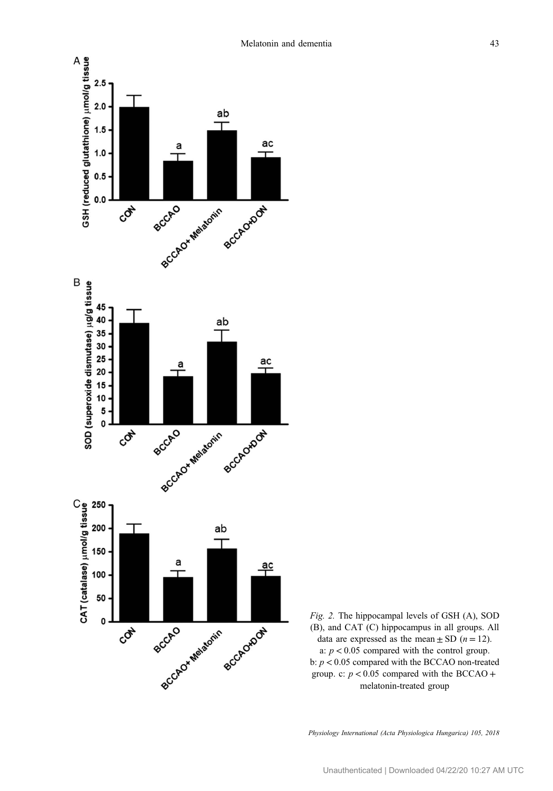<span id="page-5-0"></span>

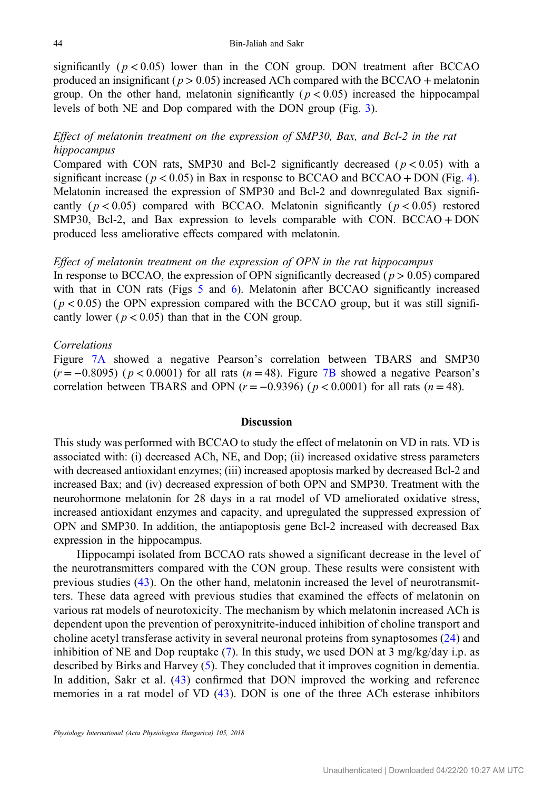significantly ( $p < 0.05$ ) lower than in the CON group. DON treatment after BCCAO produced an insignificant ( $p > 0.05$ ) increased ACh compared with the BCCAO + melatonin group. On the other hand, melatonin significantly ( $p < 0.05$ ) increased the hippocampal levels of both NE and Dop compared with the DON group (Fig. [3](#page-7-0)).

# Effect of melatonin treatment on the expression of SMP30, Bax, and Bcl-2 in the rat hippocampus

Compared with CON rats, SMP30 and Bcl-2 significantly decreased ( $p < 0.05$ ) with a significant increase ( $p < 0.05$ ) in Bax in response to BCCAO and BCCAO + DON (Fig. [4](#page-8-0)). Melatonin increased the expression of SMP30 and Bcl-2 and downregulated Bax significantly ( $p < 0.05$ ) compared with BCCAO. Melatonin significantly ( $p < 0.05$ ) restored SMP30, Bcl-2, and Bax expression to levels comparable with CON. BCCAO + DON produced less ameliorative effects compared with melatonin.

## Effect of melatonin treatment on the expression of OPN in the rat hippocampus

In response to BCCAO, the expression of OPN significantly decreased ( $p > 0.05$ ) compared with that in CON rats (Figs [5](#page-9-0) and [6](#page-9-0)). Melatonin after BCCAO significantly increased  $(p < 0.05)$  the OPN expression compared with the BCCAO group, but it was still significantly lower ( $p < 0.05$ ) than that in the CON group.

## **Correlations**

Figure [7A](#page-10-0) showed a negative Pearson's correlation between TBARS and SMP30  $(r = -0.8095)$  ( $p < 0.0001$ ) for all rats (n = 48). Figure [7B](#page-10-0) showed a negative Pearson's correlation between TBARS and OPN ( $r = -0.9396$ ) ( $p < 0.0001$ ) for all rats ( $n = 48$ ).

## **Discussion**

This study was performed with BCCAO to study the effect of melatonin on VD in rats. VD is associated with: (i) decreased ACh, NE, and Dop; (ii) increased oxidative stress parameters with decreased antioxidant enzymes; (iii) increased apoptosis marked by decreased Bcl-2 and increased Bax; and (iv) decreased expression of both OPN and SMP30. Treatment with the neurohormone melatonin for 28 days in a rat model of VD ameliorated oxidative stress, increased antioxidant enzymes and capacity, and upregulated the suppressed expression of OPN and SMP30. In addition, the antiapoptosis gene Bcl-2 increased with decreased Bax expression in the hippocampus.

Hippocampi isolated from BCCAO rats showed a significant decrease in the level of the neurotransmitters compared with the CON group. These results were consistent with previous studies ([43](#page-13-0)). On the other hand, melatonin increased the level of neurotransmitters. These data agreed with previous studies that examined the effects of melatonin on various rat models of neurotoxicity. The mechanism by which melatonin increased ACh is dependent upon the prevention of peroxynitrite-induced inhibition of choline transport and choline acetyl transferase activity in several neuronal proteins from synaptosomes ([24\)](#page-13-0) and inhibition of NE and Dop reuptake  $(7)$  $(7)$ . In this study, we used DON at 3 mg/kg/day i.p. as described by Birks and Harvey [\(5\)](#page-12-0). They concluded that it improves cognition in dementia. In addition, Sakr et al. [\(43\)](#page-13-0) confirmed that DON improved the working and reference memories in a rat model of VD ([43\)](#page-13-0). DON is one of the three ACh esterase inhibitors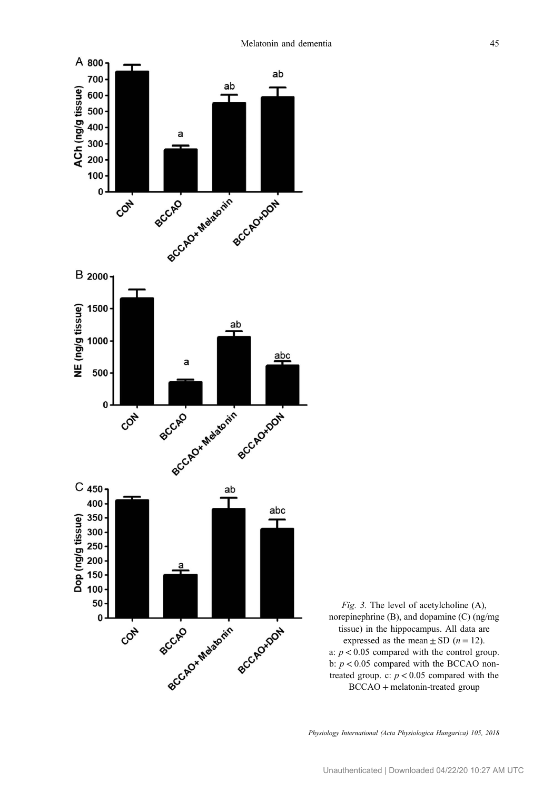<span id="page-7-0"></span>

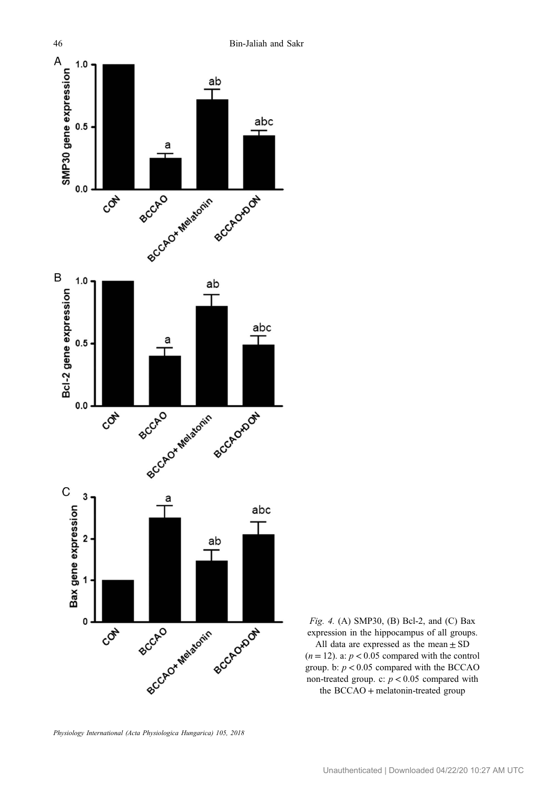<span id="page-8-0"></span>

Fig. 4. (A) SMP30, (B) Bcl-2, and (C) Bax expression in the hippocampus of all groups. All data are expressed as the mean  $\pm$  SD  $(n = 12)$ . a:  $p < 0.05$  compared with the control group. b:  $p < 0.05$  compared with the BCCAO non-treated group. c:  $p < 0.05$  compared with the BCCAO + melatonin-treated group

Physiology International (Acta Physiologica Hungarica) 105, 2018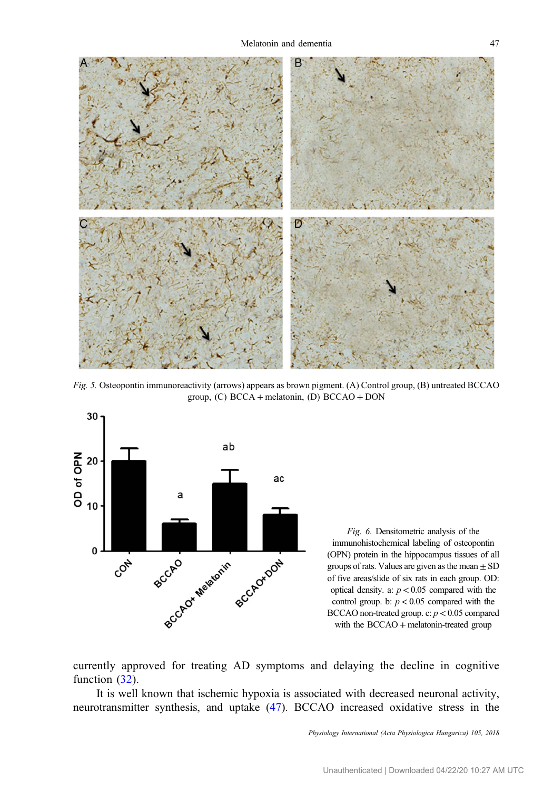<span id="page-9-0"></span>

Fig. 5. Osteopontin immunoreactivity (arrows) appears as brown pigment. (A) Control group, (B) untreated BCCAO group, (C) BCCA + melatonin, (D) BCCAO + DON



Fig. 6. Densitometric analysis of the immunohistochemical labeling of osteopontin (OPN) protein in the hippocampus tissues of all groups of rats. Values are given as the mean  $\pm$  SD of five areas/slide of six rats in each group. OD: optical density. a:  $p < 0.05$  compared with the control group. b:  $p < 0.05$  compared with the BCCAO non-treated group. c:  $p < 0.05$  compared with the BCCAO + melatonin-treated group

currently approved for treating AD symptoms and delaying the decline in cognitive function  $(32)$  $(32)$ .

It is well known that ischemic hypoxia is associated with decreased neuronal activity, neurotransmitter synthesis, and uptake [\(47](#page-14-0)). BCCAO increased oxidative stress in the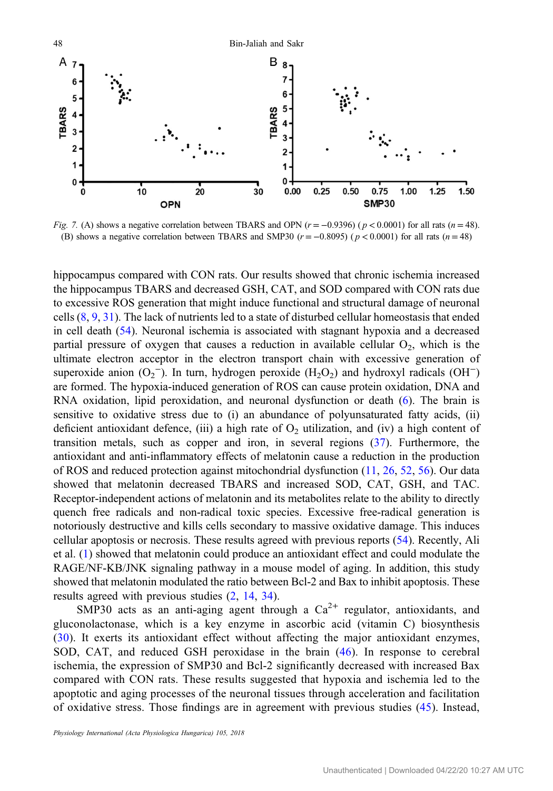<span id="page-10-0"></span>

Fig. 7. (A) shows a negative correlation between TBARS and OPN ( $r = -0.9396$ ) ( $p < 0.0001$ ) for all rats ( $n = 48$ ). (B) shows a negative correlation between TBARS and SMP30 ( $r = -0.8095$ ) ( $p < 0.0001$ ) for all rats ( $n = 48$ )

hippocampus compared with CON rats. Our results showed that chronic ischemia increased the hippocampus TBARS and decreased GSH, CAT, and SOD compared with CON rats due to excessive ROS generation that might induce functional and structural damage of neuronal cells [\(8](#page-12-0), [9](#page-12-0), [31\)](#page-13-0). The lack of nutrients led to a state of disturbed cellular homeostasis that ended in cell death ([54\)](#page-14-0). Neuronal ischemia is associated with stagnant hypoxia and a decreased partial pressure of oxygen that causes a reduction in available cellular  $O_2$ , which is the ultimate electron acceptor in the electron transport chain with excessive generation of superoxide anion  $(O_2^-)$ . In turn, hydrogen peroxide  $(H_2O_2)$  and hydroxyl radicals  $(OH^-)$ are formed. The hypoxia-induced generation of ROS can cause protein oxidation, DNA and RNA oxidation, lipid peroxidation, and neuronal dysfunction or death ([6\)](#page-12-0). The brain is sensitive to oxidative stress due to (i) an abundance of polyunsaturated fatty acids, (ii) deficient antioxidant defence, (iii) a high rate of  $O<sub>2</sub>$  utilization, and (iv) a high content of transition metals, such as copper and iron, in several regions [\(37\)](#page-13-0). Furthermore, the antioxidant and anti-inflammatory effects of melatonin cause a reduction in the production of ROS and reduced protection against mitochondrial dysfunction ([11,](#page-12-0) [26,](#page-13-0) [52,](#page-14-0) [56](#page-14-0)). Our data showed that melatonin decreased TBARS and increased SOD, CAT, GSH, and TAC. Receptor-independent actions of melatonin and its metabolites relate to the ability to directly quench free radicals and non-radical toxic species. Excessive free-radical generation is notoriously destructive and kills cells secondary to massive oxidative damage. This induces cellular apoptosis or necrosis. These results agreed with previous reports ([54](#page-14-0)). Recently, Ali et al. [\(1](#page-12-0)) showed that melatonin could produce an antioxidant effect and could modulate the RAGE/NF-KB/JNK signaling pathway in a mouse model of aging. In addition, this study showed that melatonin modulated the ratio between Bcl-2 and Bax to inhibit apoptosis. These results agreed with previous studies [\(2](#page-12-0), [14](#page-12-0), [34](#page-13-0)).

SMP30 acts as an anti-aging agent through a  $Ca^{2+}$  regulator, antioxidants, and gluconolactonase, which is a key enzyme in ascorbic acid (vitamin C) biosynthesis [\(30\)](#page-13-0). It exerts its antioxidant effect without affecting the major antioxidant enzymes, SOD, CAT, and reduced GSH peroxidase in the brain [\(46\)](#page-13-0). In response to cerebral ischemia, the expression of SMP30 and Bcl-2 significantly decreased with increased Bax compared with CON rats. These results suggested that hypoxia and ischemia led to the apoptotic and aging processes of the neuronal tissues through acceleration and facilitation of oxidative stress. Those findings are in agreement with previous studies [\(45\)](#page-13-0). Instead,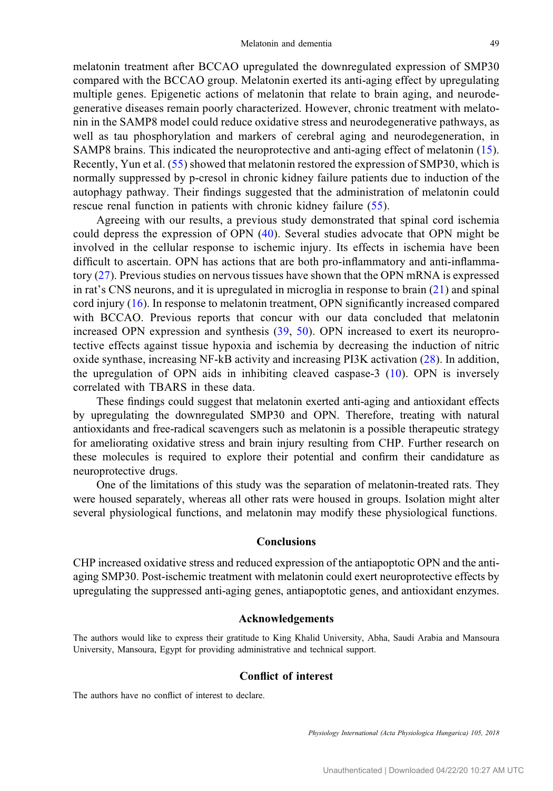melatonin treatment after BCCAO upregulated the downregulated expression of SMP30 compared with the BCCAO group. Melatonin exerted its anti-aging effect by upregulating multiple genes. Epigenetic actions of melatonin that relate to brain aging, and neurodegenerative diseases remain poorly characterized. However, chronic treatment with melatonin in the SAMP8 model could reduce oxidative stress and neurodegenerative pathways, as well as tau phosphorylation and markers of cerebral aging and neurodegeneration, in SAMP8 brains. This indicated the neuroprotective and anti-aging effect of melatonin ([15](#page-12-0)). Recently, Yun et al. ([55](#page-14-0)) showed that melatonin restored the expression of SMP30, which is normally suppressed by p-cresol in chronic kidney failure patients due to induction of the autophagy pathway. Their findings suggested that the administration of melatonin could rescue renal function in patients with chronic kidney failure ([55\)](#page-14-0).

Agreeing with our results, a previous study demonstrated that spinal cord ischemia could depress the expression of OPN [\(40\)](#page-13-0). Several studies advocate that OPN might be involved in the cellular response to ischemic injury. Its effects in ischemia have been difficult to ascertain. OPN has actions that are both pro-inflammatory and anti-inflammatory ([27\)](#page-13-0). Previous studies on nervous tissues have shown that the OPN mRNA is expressed in rat's CNS neurons, and it is upregulated in microglia in response to brain ([21](#page-12-0)) and spinal cord injury ([16](#page-12-0)). In response to melatonin treatment, OPN significantly increased compared with BCCAO. Previous reports that concur with our data concluded that melatonin increased OPN expression and synthesis ([39](#page-13-0), [50\)](#page-14-0). OPN increased to exert its neuroprotective effects against tissue hypoxia and ischemia by decreasing the induction of nitric oxide synthase, increasing NF-kB activity and increasing PI3K activation ([28](#page-13-0)). In addition, the upregulation of OPN aids in inhibiting cleaved caspase-3 ([10\)](#page-12-0). OPN is inversely correlated with TBARS in these data.

These findings could suggest that melatonin exerted anti-aging and antioxidant effects by upregulating the downregulated SMP30 and OPN. Therefore, treating with natural antioxidants and free-radical scavengers such as melatonin is a possible therapeutic strategy for ameliorating oxidative stress and brain injury resulting from CHP. Further research on these molecules is required to explore their potential and confirm their candidature as neuroprotective drugs.

One of the limitations of this study was the separation of melatonin-treated rats. They were housed separately, whereas all other rats were housed in groups. Isolation might alter several physiological functions, and melatonin may modify these physiological functions.

## Conclusions

CHP increased oxidative stress and reduced expression of the antiapoptotic OPN and the antiaging SMP30. Post-ischemic treatment with melatonin could exert neuroprotective effects by upregulating the suppressed anti-aging genes, antiapoptotic genes, and antioxidant enzymes.

#### Acknowledgements

The authors would like to express their gratitude to King Khalid University, Abha, Saudi Arabia and Mansoura University, Mansoura, Egypt for providing administrative and technical support.

#### Conflict of interest

The authors have no conflict of interest to declare.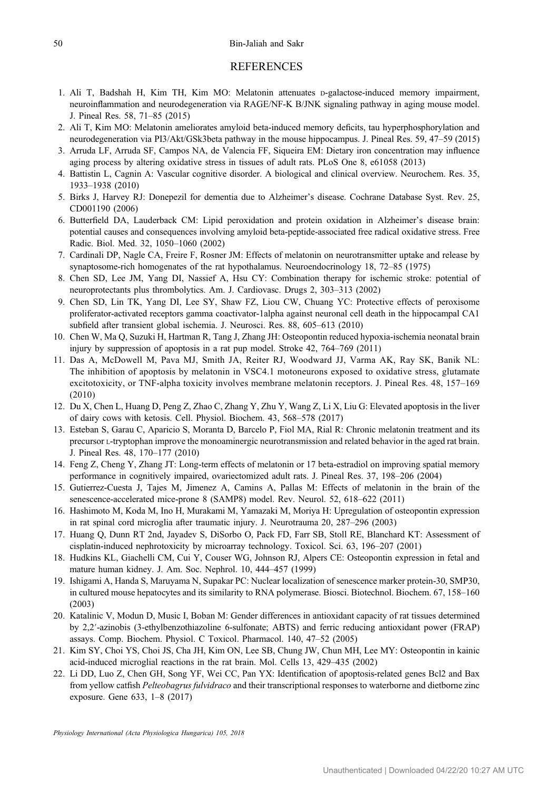#### <span id="page-12-0"></span>50 Bin-Jaliah and Sakr

#### **REFERENCES**

- 1. Ali T, Badshah H, Kim TH, Kim MO: Melatonin attenuates D-galactose-induced memory impairment, neuroinflammation and neurodegeneration via RAGE/NF-K B/JNK signaling pathway in aging mouse model. J. Pineal Res. 58, 71–85 (2015)
- 2. Ali T, Kim MO: Melatonin ameliorates amyloid beta-induced memory deficits, tau hyperphosphorylation and neurodegeneration via PI3/Akt/GSk3beta pathway in the mouse hippocampus. J. Pineal Res. 59, 47–59 (2015)
- 3. Arruda LF, Arruda SF, Campos NA, de Valencia FF, Siqueira EM: Dietary iron concentration may influence aging process by altering oxidative stress in tissues of adult rats. PLoS One 8, e61058 (2013)
- 4. Battistin L, Cagnin A: Vascular cognitive disorder. A biological and clinical overview. Neurochem. Res. 35, 1933–1938 (2010)
- 5. Birks J, Harvey RJ: Donepezil for dementia due to Alzheimer's disease. Cochrane Database Syst. Rev. 25, CD001190 (2006)
- 6. Butterfield DA, Lauderback CM: Lipid peroxidation and protein oxidation in Alzheimer's disease brain: potential causes and consequences involving amyloid beta-peptide-associated free radical oxidative stress. Free Radic. Biol. Med. 32, 1050–1060 (2002)
- 7. Cardinali DP, Nagle CA, Freire F, Rosner JM: Effects of melatonin on neurotransmitter uptake and release by synaptosome-rich homogenates of the rat hypothalamus. Neuroendocrinology 18, 72–85 (1975)
- 8. Chen SD, Lee JM, Yang DI, Nassief A, Hsu CY: Combination therapy for ischemic stroke: potential of neuroprotectants plus thrombolytics. Am. J. Cardiovasc. Drugs 2, 303–313 (2002)
- 9. Chen SD, Lin TK, Yang DI, Lee SY, Shaw FZ, Liou CW, Chuang YC: Protective effects of peroxisome proliferator-activated receptors gamma coactivator-1alpha against neuronal cell death in the hippocampal CA1 subfield after transient global ischemia. J. Neurosci. Res. 88, 605–613 (2010)
- 10. Chen W, Ma Q, Suzuki H, Hartman R, Tang J, Zhang JH: Osteopontin reduced hypoxia-ischemia neonatal brain injury by suppression of apoptosis in a rat pup model. Stroke 42, 764–769 (2011)
- 11. Das A, McDowell M, Pava MJ, Smith JA, Reiter RJ, Woodward JJ, Varma AK, Ray SK, Banik NL: The inhibition of apoptosis by melatonin in VSC4.1 motoneurons exposed to oxidative stress, glutamate excitotoxicity, or TNF-alpha toxicity involves membrane melatonin receptors. J. Pineal Res. 48, 157–169 (2010)
- 12. Du X, Chen L, Huang D, Peng Z, Zhao C, Zhang Y, Zhu Y, Wang Z, Li X, Liu G: Elevated apoptosis in the liver of dairy cows with ketosis. Cell. Physiol. Biochem. 43, 568–578 (2017)
- 13. Esteban S, Garau C, Aparicio S, Moranta D, Barcelo P, Fiol MA, Rial R: Chronic melatonin treatment and its precursor L-tryptophan improve the monoaminergic neurotransmission and related behavior in the aged rat brain. J. Pineal Res. 48, 170–177 (2010)
- 14. Feng Z, Cheng Y, Zhang JT: Long-term effects of melatonin or 17 beta-estradiol on improving spatial memory performance in cognitively impaired, ovariectomized adult rats. J. Pineal Res. 37, 198–206 (2004)
- 15. Gutierrez-Cuesta J, Tajes M, Jimenez A, Camins A, Pallas M: Effects of melatonin in the brain of the senescence-accelerated mice-prone 8 (SAMP8) model. Rev. Neurol. 52, 618–622 (2011)
- 16. Hashimoto M, Koda M, Ino H, Murakami M, Yamazaki M, Moriya H: Upregulation of osteopontin expression in rat spinal cord microglia after traumatic injury. J. Neurotrauma 20, 287–296 (2003)
- 17. Huang Q, Dunn RT 2nd, Jayadev S, DiSorbo O, Pack FD, Farr SB, Stoll RE, Blanchard KT: Assessment of cisplatin-induced nephrotoxicity by microarray technology. Toxicol. Sci. 63, 196–207 (2001)
- 18. Hudkins KL, Giachelli CM, Cui Y, Couser WG, Johnson RJ, Alpers CE: Osteopontin expression in fetal and mature human kidney. J. Am. Soc. Nephrol. 10, 444–457 (1999)
- 19. Ishigami A, Handa S, Maruyama N, Supakar PC: Nuclear localization of senescence marker protein-30, SMP30, in cultured mouse hepatocytes and its similarity to RNA polymerase. Biosci. Biotechnol. Biochem. 67, 158–160 (2003)
- 20. Katalinic V, Modun D, Music I, Boban M: Gender differences in antioxidant capacity of rat tissues determined by 2,2′-azinobis (3-ethylbenzothiazoline 6-sulfonate; ABTS) and ferric reducing antioxidant power (FRAP) assays. Comp. Biochem. Physiol. C Toxicol. Pharmacol. 140, 47–52 (2005)
- 21. Kim SY, Choi YS, Choi JS, Cha JH, Kim ON, Lee SB, Chung JW, Chun MH, Lee MY: Osteopontin in kainic acid-induced microglial reactions in the rat brain. Mol. Cells 13, 429–435 (2002)
- 22. Li DD, Luo Z, Chen GH, Song YF, Wei CC, Pan YX: Identification of apoptosis-related genes Bcl2 and Bax from yellow catfish Pelteobagrus fulvidraco and their transcriptional responses to waterborne and dietborne zinc exposure. Gene 633, 1–8 (2017)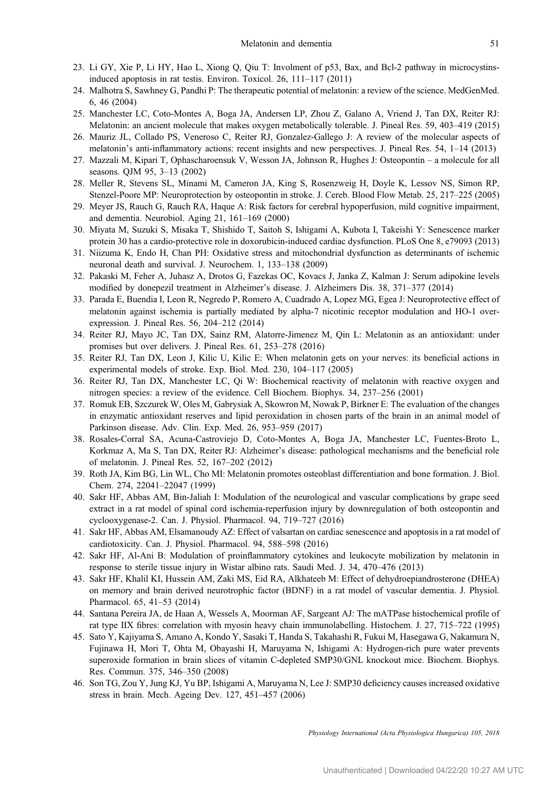- <span id="page-13-0"></span>23. Li GY, Xie P, Li HY, Hao L, Xiong Q, Qiu T: Involment of p53, Bax, and Bcl-2 pathway in microcystinsinduced apoptosis in rat testis. Environ. Toxicol. 26, 111–117 (2011)
- 24. Malhotra S, Sawhney G, Pandhi P: The therapeutic potential of melatonin: a review of the science. MedGenMed. 6, 46 (2004)
- 25. Manchester LC, Coto-Montes A, Boga JA, Andersen LP, Zhou Z, Galano A, Vriend J, Tan DX, Reiter RJ: Melatonin: an ancient molecule that makes oxygen metabolically tolerable. J. Pineal Res. 59, 403–419 (2015)
- 26. Mauriz JL, Collado PS, Veneroso C, Reiter RJ, Gonzalez-Gallego J: A review of the molecular aspects of melatonin's anti-inflammatory actions: recent insights and new perspectives. J. Pineal Res. 54, 1–14 (2013)
- 27. Mazzali M, Kipari T, Ophascharoensuk V, Wesson JA, Johnson R, Hughes J: Osteopontin a molecule for all seasons. QJM 95, 3–13 (2002)
- 28. Meller R, Stevens SL, Minami M, Cameron JA, King S, Rosenzweig H, Doyle K, Lessov NS, Simon RP, Stenzel-Poore MP: Neuroprotection by osteopontin in stroke. J. Cereb. Blood Flow Metab. 25, 217–225 (2005)
- 29. Meyer JS, Rauch G, Rauch RA, Haque A: Risk factors for cerebral hypoperfusion, mild cognitive impairment, and dementia. Neurobiol. Aging 21, 161–169 (2000)
- 30. Miyata M, Suzuki S, Misaka T, Shishido T, Saitoh S, Ishigami A, Kubota I, Takeishi Y: Senescence marker protein 30 has a cardio-protective role in doxorubicin-induced cardiac dysfunction. PLoS One 8, e79093 (2013)
- 31. Niizuma K, Endo H, Chan PH: Oxidative stress and mitochondrial dysfunction as determinants of ischemic neuronal death and survival. J. Neurochem. 1, 133–138 (2009)
- 32. Pakaski M, Feher A, Juhasz A, Drotos G, Fazekas OC, Kovacs J, Janka Z, Kalman J: Serum adipokine levels modified by donepezil treatment in Alzheimer's disease. J. Alzheimers Dis. 38, 371–377 (2014)
- 33. Parada E, Buendia I, Leon R, Negredo P, Romero A, Cuadrado A, Lopez MG, Egea J: Neuroprotective effect of melatonin against ischemia is partially mediated by alpha-7 nicotinic receptor modulation and HO-1 overexpression. J. Pineal Res. 56, 204–212 (2014)
- 34. Reiter RJ, Mayo JC, Tan DX, Sainz RM, Alatorre-Jimenez M, Qin L: Melatonin as an antioxidant: under promises but over delivers. J. Pineal Res. 61, 253–278 (2016)
- 35. Reiter RJ, Tan DX, Leon J, Kilic U, Kilic E: When melatonin gets on your nerves: its beneficial actions in experimental models of stroke. Exp. Biol. Med. 230, 104–117 (2005)
- 36. Reiter RJ, Tan DX, Manchester LC, Qi W: Biochemical reactivity of melatonin with reactive oxygen and nitrogen species: a review of the evidence. Cell Biochem. Biophys. 34, 237–256 (2001)
- 37. Romuk EB, Szczurek W, Oles M, Gabrysiak A, Skowron M, Nowak P, Birkner E: The evaluation of the changes in enzymatic antioxidant reserves and lipid peroxidation in chosen parts of the brain in an animal model of Parkinson disease. Adv. Clin. Exp. Med. 26, 953–959 (2017)
- 38. Rosales-Corral SA, Acuna-Castroviejo D, Coto-Montes A, Boga JA, Manchester LC, Fuentes-Broto L, Korkmaz A, Ma S, Tan DX, Reiter RJ: Alzheimer's disease: pathological mechanisms and the beneficial role of melatonin. J. Pineal Res. 52, 167–202 (2012)
- 39. Roth JA, Kim BG, Lin WL, Cho MI: Melatonin promotes osteoblast differentiation and bone formation. J. Biol. Chem. 274, 22041–22047 (1999)
- 40. Sakr HF, Abbas AM, Bin-Jaliah I: Modulation of the neurological and vascular complications by grape seed extract in a rat model of spinal cord ischemia-reperfusion injury by downregulation of both osteopontin and cyclooxygenase-2. Can. J. Physiol. Pharmacol. 94, 719–727 (2016)
- 41. Sakr HF, Abbas AM, Elsamanoudy AZ: Effect of valsartan on cardiac senescence and apoptosis in a rat model of cardiotoxicity. Can. J. Physiol. Pharmacol. 94, 588–598 (2016)
- 42. Sakr HF, Al-Ani B: Modulation of proinflammatory cytokines and leukocyte mobilization by melatonin in response to sterile tissue injury in Wistar albino rats. Saudi Med. J. 34, 470–476 (2013)
- 43. Sakr HF, Khalil KI, Hussein AM, Zaki MS, Eid RA, Alkhateeb M: Effect of dehydroepiandrosterone (DHEA) on memory and brain derived neurotrophic factor (BDNF) in a rat model of vascular dementia. J. Physiol. Pharmacol. 65, 41–53 (2014)
- 44. Santana Pereira JA, de Haan A, Wessels A, Moorman AF, Sargeant AJ: The mATPase histochemical profile of rat type IIX fibres: correlation with myosin heavy chain immunolabelling. Histochem. J. 27, 715–722 (1995)
- 45. Sato Y, Kajiyama S, Amano A, Kondo Y, Sasaki T, Handa S, Takahashi R, Fukui M, Hasegawa G, Nakamura N, Fujinawa H, Mori T, Ohta M, Obayashi H, Maruyama N, Ishigami A: Hydrogen-rich pure water prevents superoxide formation in brain slices of vitamin C-depleted SMP30/GNL knockout mice. Biochem. Biophys. Res. Commun. 375, 346–350 (2008)
- 46. Son TG, Zou Y, Jung KJ, Yu BP, Ishigami A, Maruyama N, Lee J: SMP30 deficiency causes increased oxidative stress in brain. Mech. Ageing Dev. 127, 451–457 (2006)